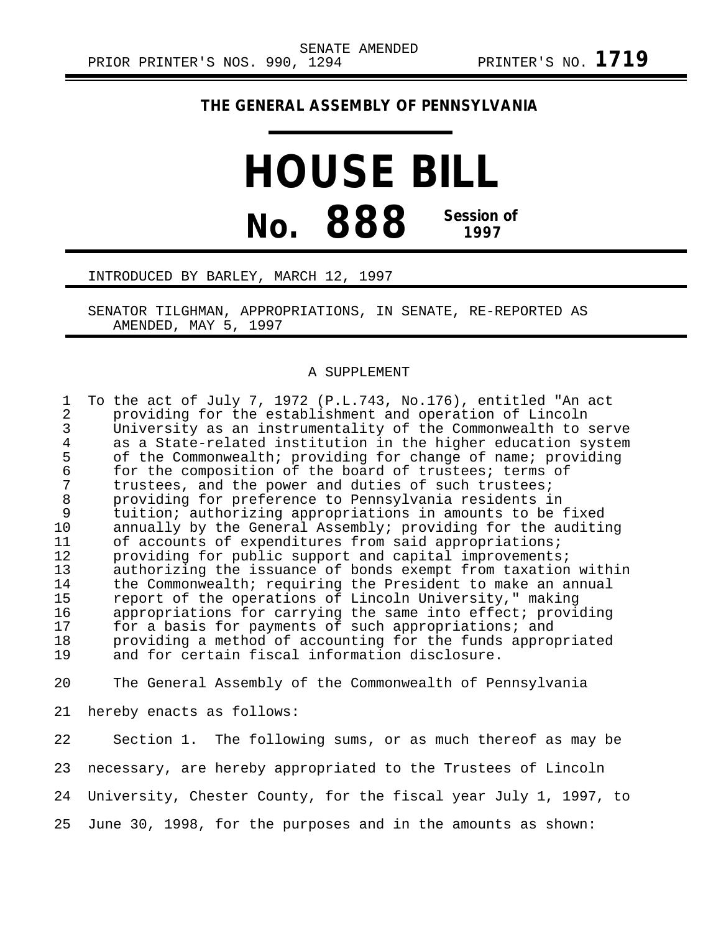## **THE GENERAL ASSEMBLY OF PENNSYLVANIA**

## **HOUSE BILL No. 888 Session of 1997**

## INTRODUCED BY BARLEY, MARCH 12, 1997

SENATOR TILGHMAN, APPROPRIATIONS, IN SENATE, RE-REPORTED AS AMENDED, MAY 5, 1997

## A SUPPLEMENT

| $\mathbf{1}$<br>$\overline{2}$<br>3<br>$\overline{4}$<br>5<br>6<br>7<br>$\,8\,$<br>9<br>10<br>11<br>12<br>13<br>14<br>15<br>16<br>17<br>18<br>19 | To the act of July 7, 1972 (P.L.743, No.176), entitled "An act<br>providing for the establishment and operation of Lincoln<br>University as an instrumentality of the Commonwealth to serve<br>as a State-related institution in the higher education system<br>of the Commonwealth; providing for change of name; providing<br>for the composition of the board of trustees; terms of<br>trustees, and the power and duties of such trustees;<br>providing for preference to Pennsylvania residents in<br>tuition; authorizing appropriations in amounts to be fixed<br>annually by the General Assembly; providing for the auditing<br>of accounts of expenditures from said appropriations;<br>providing for public support and capital improvements;<br>authorizing the issuance of bonds exempt from taxation within<br>the Commonwealth; requiring the President to make an annual<br>report of the operations of Lincoln University," making<br>appropriations for carrying the same into effect; providing<br>for a basis for payments of such appropriations; and<br>providing a method of accounting for the funds appropriated<br>and for certain fiscal information disclosure. |
|--------------------------------------------------------------------------------------------------------------------------------------------------|---------------------------------------------------------------------------------------------------------------------------------------------------------------------------------------------------------------------------------------------------------------------------------------------------------------------------------------------------------------------------------------------------------------------------------------------------------------------------------------------------------------------------------------------------------------------------------------------------------------------------------------------------------------------------------------------------------------------------------------------------------------------------------------------------------------------------------------------------------------------------------------------------------------------------------------------------------------------------------------------------------------------------------------------------------------------------------------------------------------------------------------------------------------------------------------------|
| 20                                                                                                                                               | The General Assembly of the Commonwealth of Pennsylvania                                                                                                                                                                                                                                                                                                                                                                                                                                                                                                                                                                                                                                                                                                                                                                                                                                                                                                                                                                                                                                                                                                                                    |
| 21                                                                                                                                               | hereby enacts as follows:                                                                                                                                                                                                                                                                                                                                                                                                                                                                                                                                                                                                                                                                                                                                                                                                                                                                                                                                                                                                                                                                                                                                                                   |
| 22                                                                                                                                               | Section 1. The following sums, or as much thereof as may be                                                                                                                                                                                                                                                                                                                                                                                                                                                                                                                                                                                                                                                                                                                                                                                                                                                                                                                                                                                                                                                                                                                                 |
| 23                                                                                                                                               | necessary, are hereby appropriated to the Trustees of Lincoln                                                                                                                                                                                                                                                                                                                                                                                                                                                                                                                                                                                                                                                                                                                                                                                                                                                                                                                                                                                                                                                                                                                               |
| 24                                                                                                                                               | University, Chester County, for the fiscal year July 1, 1997, to                                                                                                                                                                                                                                                                                                                                                                                                                                                                                                                                                                                                                                                                                                                                                                                                                                                                                                                                                                                                                                                                                                                            |

25 June 30, 1998, for the purposes and in the amounts as shown: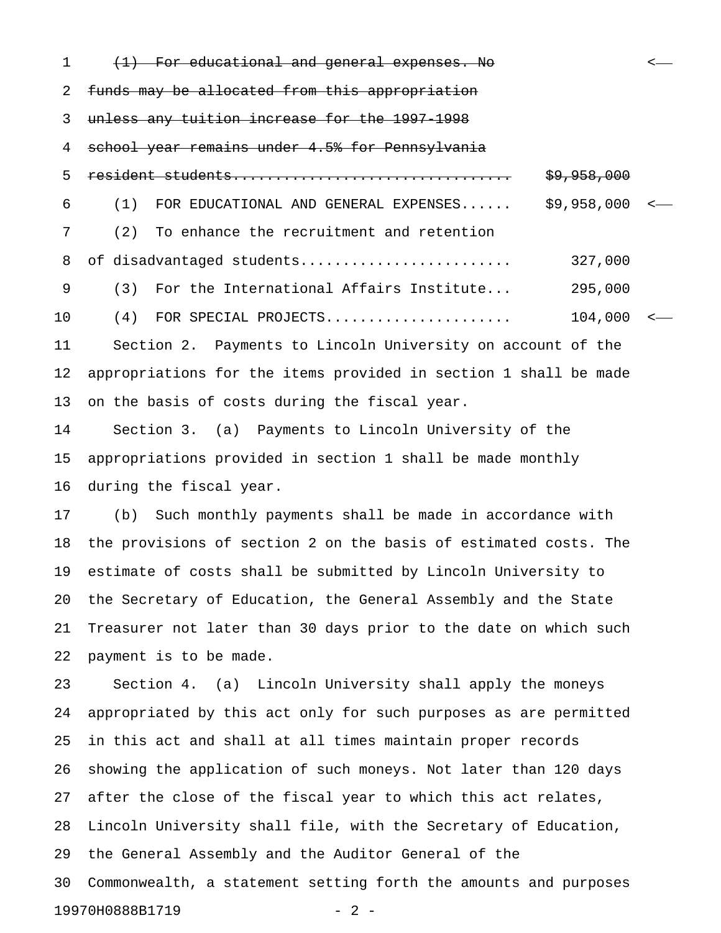1 (<del>1) For educational and general expenses. No</del>  $\sim$ 2 funds may be allocated from this appropriation 3 unless any tuition increase for the 1997-1998 4 school year remains under 4.5% for Pennsylvania 5 resident students................................. \$9,958,000 6 (1) FOR EDUCATIONAL AND GENERAL EXPENSES...... \$9,958,000 < 7 (2) To enhance the recruitment and retention 8 of disadvantaged students......................... 327,000 9 (3) For the International Affairs Institute... 295,000 10 (4) FOR SPECIAL PROJECTS...................... 104,000 < 11 Section 2. Payments to Lincoln University on account of the 12 appropriations for the items provided in section 1 shall be made 13 on the basis of costs during the fiscal year. 14 Section 3. (a) Payments to Lincoln University of the 15 appropriations provided in section 1 shall be made monthly 16 during the fiscal year. 17 (b) Such monthly payments shall be made in accordance with 18 the provisions of section 2 on the basis of estimated costs. The 19 estimate of costs shall be submitted by Lincoln University to 20 the Secretary of Education, the General Assembly and the State 21 Treasurer not later than 30 days prior to the date on which such 22 payment is to be made. 23 Section 4. (a) Lincoln University shall apply the moneys 24 appropriated by this act only for such purposes as are permitted 25 in this act and shall at all times maintain proper records 26 showing the application of such moneys. Not later than 120 days 27 after the close of the fiscal year to which this act relates, 28 Lincoln University shall file, with the Secretary of Education, 29 the General Assembly and the Auditor General of the 30 Commonwealth, a statement setting forth the amounts and purposes 19970H0888B1719 - 2 -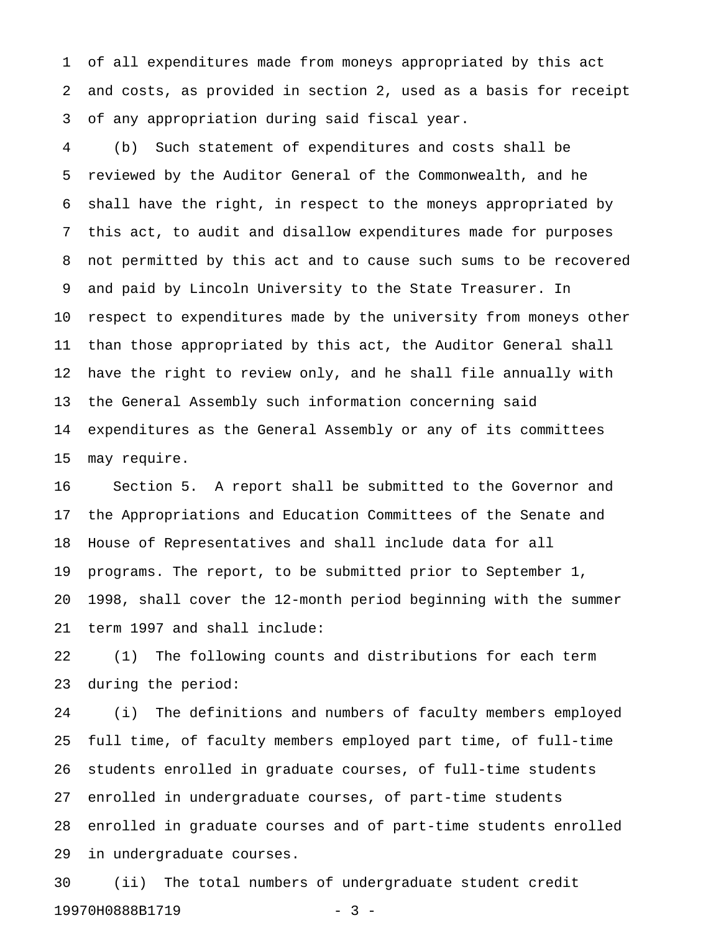1 of all expenditures made from moneys appropriated by this act 2 and costs, as provided in section 2, used as a basis for receipt 3 of any appropriation during said fiscal year.

4 (b) Such statement of expenditures and costs shall be 5 reviewed by the Auditor General of the Commonwealth, and he 6 shall have the right, in respect to the moneys appropriated by 7 this act, to audit and disallow expenditures made for purposes 8 not permitted by this act and to cause such sums to be recovered 9 and paid by Lincoln University to the State Treasurer. In 10 respect to expenditures made by the university from moneys other 11 than those appropriated by this act, the Auditor General shall 12 have the right to review only, and he shall file annually with 13 the General Assembly such information concerning said 14 expenditures as the General Assembly or any of its committees 15 may require.

16 Section 5. A report shall be submitted to the Governor and 17 the Appropriations and Education Committees of the Senate and 18 House of Representatives and shall include data for all 19 programs. The report, to be submitted prior to September 1, 20 1998, shall cover the 12-month period beginning with the summer 21 term 1997 and shall include:

22 (1) The following counts and distributions for each term 23 during the period:

24 (i) The definitions and numbers of faculty members employed 25 full time, of faculty members employed part time, of full-time 26 students enrolled in graduate courses, of full-time students 27 enrolled in undergraduate courses, of part-time students 28 enrolled in graduate courses and of part-time students enrolled 29 in undergraduate courses.

30 (ii) The total numbers of undergraduate student credit 19970H0888B1719 - 3 -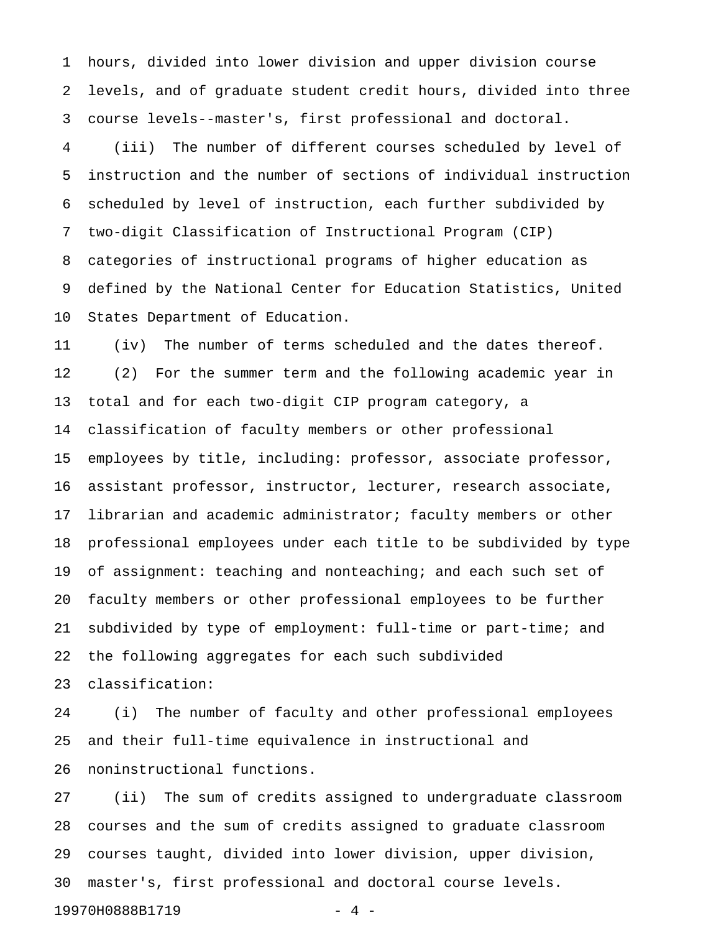1 hours, divided into lower division and upper division course 2 levels, and of graduate student credit hours, divided into three 3 course levels--master's, first professional and doctoral.

4 (iii) The number of different courses scheduled by level of 5 instruction and the number of sections of individual instruction 6 scheduled by level of instruction, each further subdivided by 7 two-digit Classification of Instructional Program (CIP) 8 categories of instructional programs of higher education as 9 defined by the National Center for Education Statistics, United 10 States Department of Education.

11 (iv) The number of terms scheduled and the dates thereof. 12 (2) For the summer term and the following academic year in 13 total and for each two-digit CIP program category, a 14 classification of faculty members or other professional 15 employees by title, including: professor, associate professor, 16 assistant professor, instructor, lecturer, research associate, 17 librarian and academic administrator; faculty members or other 18 professional employees under each title to be subdivided by type 19 of assignment: teaching and nonteaching; and each such set of 20 faculty members or other professional employees to be further 21 subdivided by type of employment: full-time or part-time; and 22 the following aggregates for each such subdivided 23 classification:

24 (i) The number of faculty and other professional employees 25 and their full-time equivalence in instructional and 26 noninstructional functions.

27 (ii) The sum of credits assigned to undergraduate classroom 28 courses and the sum of credits assigned to graduate classroom 29 courses taught, divided into lower division, upper division, 30 master's, first professional and doctoral course levels.

19970H0888B1719 - 4 -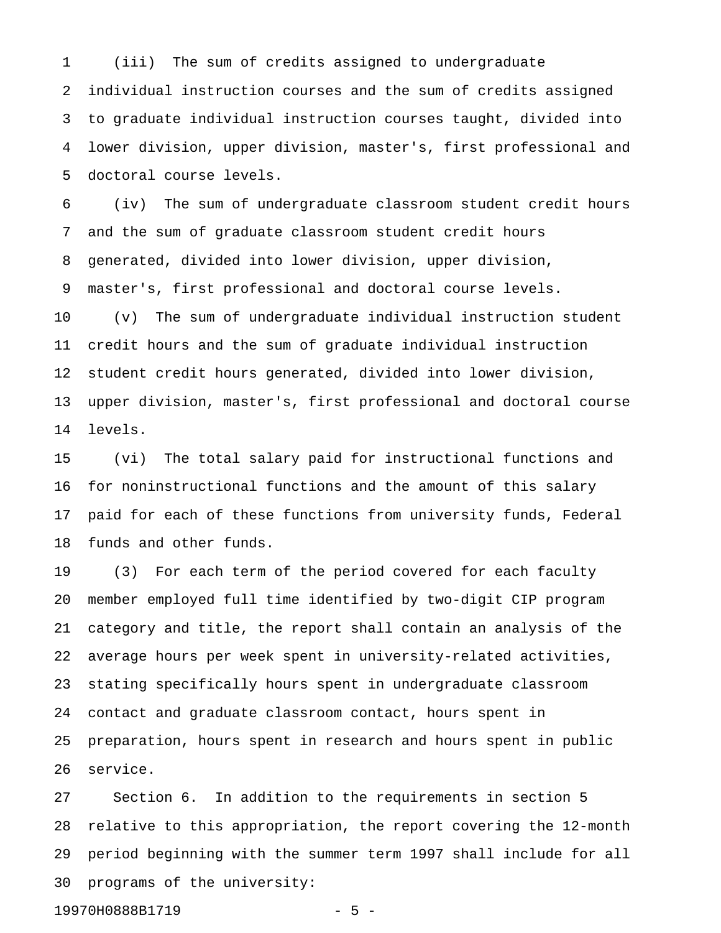1 (iii) The sum of credits assigned to undergraduate 2 individual instruction courses and the sum of credits assigned 3 to graduate individual instruction courses taught, divided into 4 lower division, upper division, master's, first professional and 5 doctoral course levels.

6 (iv) The sum of undergraduate classroom student credit hours 7 and the sum of graduate classroom student credit hours 8 generated, divided into lower division, upper division, 9 master's, first professional and doctoral course levels. 10 (v) The sum of undergraduate individual instruction student 11 credit hours and the sum of graduate individual instruction 12 student credit hours generated, divided into lower division,

13 upper division, master's, first professional and doctoral course 14 levels.

15 (vi) The total salary paid for instructional functions and 16 for noninstructional functions and the amount of this salary 17 paid for each of these functions from university funds, Federal 18 funds and other funds.

19 (3) For each term of the period covered for each faculty 20 member employed full time identified by two-digit CIP program 21 category and title, the report shall contain an analysis of the 22 average hours per week spent in university-related activities, 23 stating specifically hours spent in undergraduate classroom 24 contact and graduate classroom contact, hours spent in 25 preparation, hours spent in research and hours spent in public 26 service.

27 Section 6. In addition to the requirements in section 5 28 relative to this appropriation, the report covering the 12-month 29 period beginning with the summer term 1997 shall include for all 30 programs of the university:

19970H0888B1719 - 5 -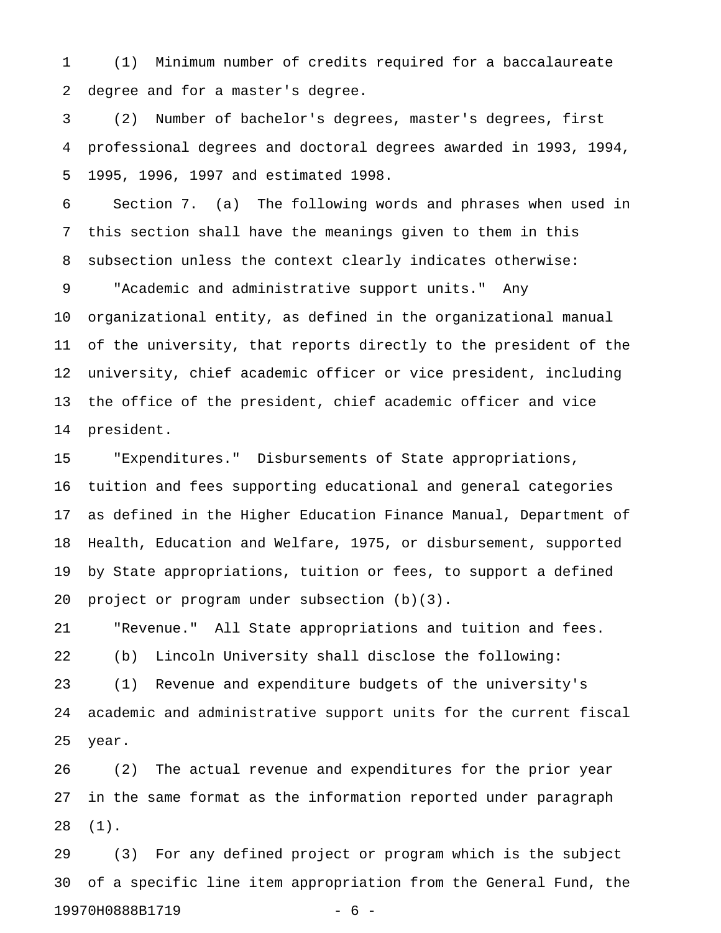1 (1) Minimum number of credits required for a baccalaureate 2 degree and for a master's degree.

3 (2) Number of bachelor's degrees, master's degrees, first 4 professional degrees and doctoral degrees awarded in 1993, 1994, 5 1995, 1996, 1997 and estimated 1998.

6 Section 7. (a) The following words and phrases when used in 7 this section shall have the meanings given to them in this 8 subsection unless the context clearly indicates otherwise:

9 "Academic and administrative support units." Any 10 organizational entity, as defined in the organizational manual 11 of the university, that reports directly to the president of the 12 university, chief academic officer or vice president, including 13 the office of the president, chief academic officer and vice 14 president.

15 "Expenditures." Disbursements of State appropriations, 16 tuition and fees supporting educational and general categories 17 as defined in the Higher Education Finance Manual, Department of 18 Health, Education and Welfare, 1975, or disbursement, supported 19 by State appropriations, tuition or fees, to support a defined 20 project or program under subsection (b)(3).

21 "Revenue." All State appropriations and tuition and fees. 22 (b) Lincoln University shall disclose the following: 23 (1) Revenue and expenditure budgets of the university's 24 academic and administrative support units for the current fiscal 25 year.

26 (2) The actual revenue and expenditures for the prior year 27 in the same format as the information reported under paragraph 28 (1).

29 (3) For any defined project or program which is the subject 30 of a specific line item appropriation from the General Fund, the 19970H0888B1719 - 6 -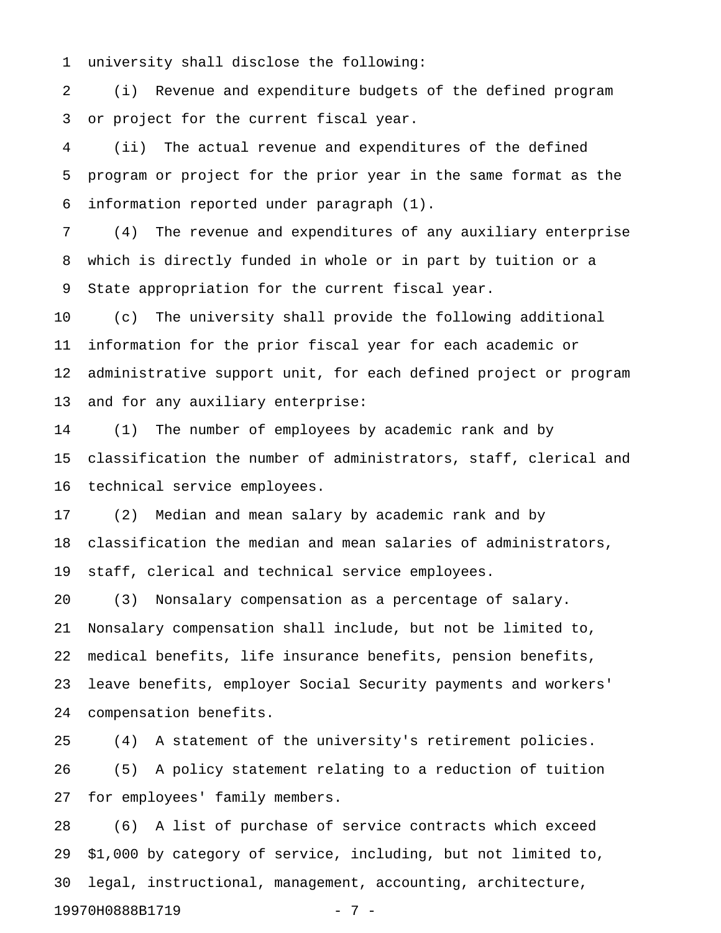1 university shall disclose the following:

2 (i) Revenue and expenditure budgets of the defined program 3 or project for the current fiscal year.

4 (ii) The actual revenue and expenditures of the defined 5 program or project for the prior year in the same format as the 6 information reported under paragraph (1).

7 (4) The revenue and expenditures of any auxiliary enterprise 8 which is directly funded in whole or in part by tuition or a 9 State appropriation for the current fiscal year.

10 (c) The university shall provide the following additional 11 information for the prior fiscal year for each academic or 12 administrative support unit, for each defined project or program 13 and for any auxiliary enterprise:

14 (1) The number of employees by academic rank and by 15 classification the number of administrators, staff, clerical and 16 technical service employees.

17 (2) Median and mean salary by academic rank and by 18 classification the median and mean salaries of administrators, 19 staff, clerical and technical service employees.

20 (3) Nonsalary compensation as a percentage of salary. 21 Nonsalary compensation shall include, but not be limited to, 22 medical benefits, life insurance benefits, pension benefits, 23 leave benefits, employer Social Security payments and workers' 24 compensation benefits.

25 (4) A statement of the university's retirement policies. 26 (5) A policy statement relating to a reduction of tuition 27 for employees' family members.

28 (6) A list of purchase of service contracts which exceed 29 \$1,000 by category of service, including, but not limited to, 30 legal, instructional, management, accounting, architecture, 19970H0888B1719 - 7 -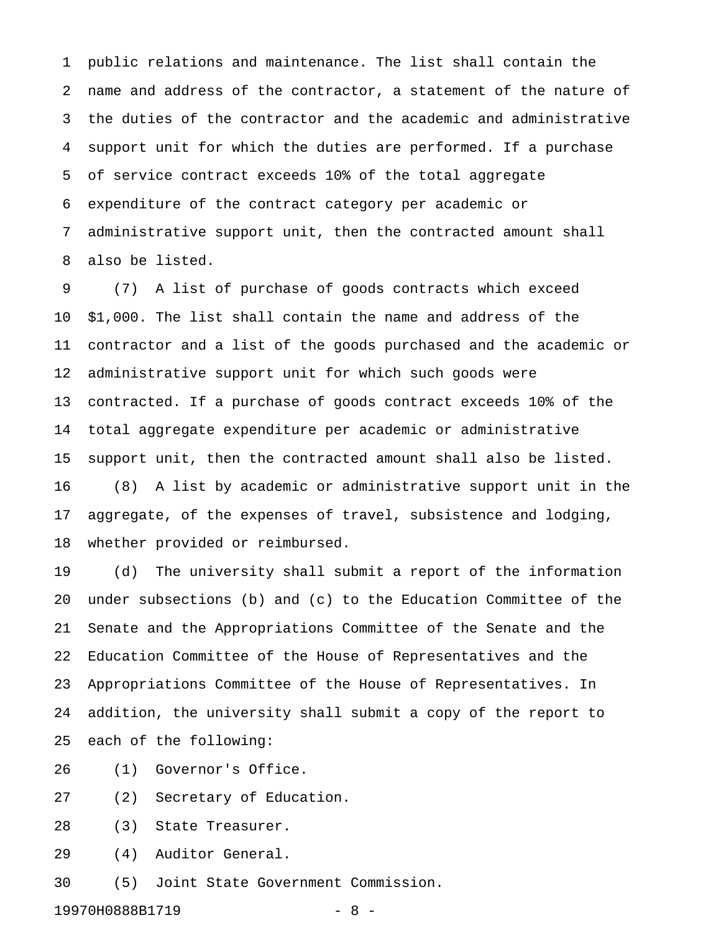1 public relations and maintenance. The list shall contain the 2 name and address of the contractor, a statement of the nature of 3 the duties of the contractor and the academic and administrative 4 support unit for which the duties are performed. If a purchase 5 of service contract exceeds 10% of the total aggregate 6 expenditure of the contract category per academic or 7 administrative support unit, then the contracted amount shall 8 also be listed.

9 (7) A list of purchase of goods contracts which exceed 10 \$1,000. The list shall contain the name and address of the 11 contractor and a list of the goods purchased and the academic or 12 administrative support unit for which such goods were 13 contracted. If a purchase of goods contract exceeds 10% of the 14 total aggregate expenditure per academic or administrative 15 support unit, then the contracted amount shall also be listed. 16 (8) A list by academic or administrative support unit in the 17 aggregate, of the expenses of travel, subsistence and lodging, 18 whether provided or reimbursed.

19 (d) The university shall submit a report of the information 20 under subsections (b) and (c) to the Education Committee of the 21 Senate and the Appropriations Committee of the Senate and the 22 Education Committee of the House of Representatives and the 23 Appropriations Committee of the House of Representatives. In 24 addition, the university shall submit a copy of the report to 25 each of the following:

26 (1) Governor's Office.

27 (2) Secretary of Education.

28 (3) State Treasurer.

29 (4) Auditor General.

30 (5) Joint State Government Commission.

19970H0888B1719 - 8 -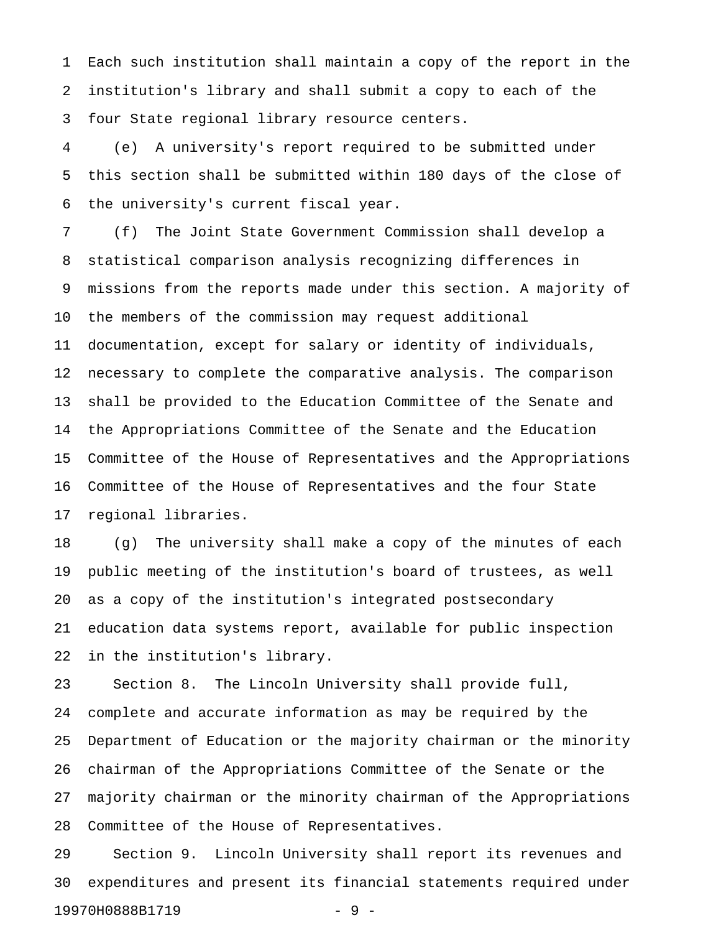1 Each such institution shall maintain a copy of the report in the 2 institution's library and shall submit a copy to each of the 3 four State regional library resource centers.

4 (e) A university's report required to be submitted under 5 this section shall be submitted within 180 days of the close of 6 the university's current fiscal year.

7 (f) The Joint State Government Commission shall develop a 8 statistical comparison analysis recognizing differences in 9 missions from the reports made under this section. A majority of 10 the members of the commission may request additional 11 documentation, except for salary or identity of individuals, 12 necessary to complete the comparative analysis. The comparison 13 shall be provided to the Education Committee of the Senate and 14 the Appropriations Committee of the Senate and the Education 15 Committee of the House of Representatives and the Appropriations 16 Committee of the House of Representatives and the four State 17 regional libraries.

18 (g) The university shall make a copy of the minutes of each 19 public meeting of the institution's board of trustees, as well 20 as a copy of the institution's integrated postsecondary 21 education data systems report, available for public inspection 22 in the institution's library.

23 Section 8. The Lincoln University shall provide full, 24 complete and accurate information as may be required by the 25 Department of Education or the majority chairman or the minority 26 chairman of the Appropriations Committee of the Senate or the 27 majority chairman or the minority chairman of the Appropriations 28 Committee of the House of Representatives.

29 Section 9. Lincoln University shall report its revenues and 30 expenditures and present its financial statements required under 19970H0888B1719 - 9 -